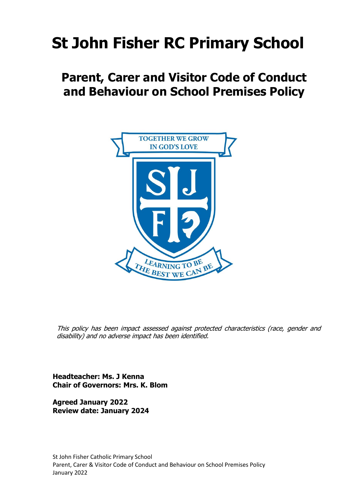# **St John Fisher RC Primary School**

# **Parent, Carer and Visitor Code of Conduct and Behaviour on School Premises Policy**



This policy has been impact assessed against protected characteristics (race, gender and disability) and no adverse impact has been identified.

**Headteacher: Ms. J Kenna Chair of Governors: Mrs. K. Blom**

**Agreed January 2022 Review date: January 2024**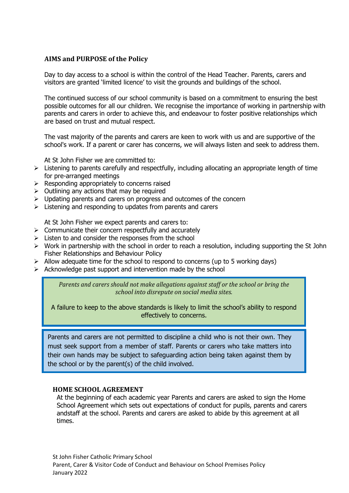#### **AIMS and PURPOSE of the Policy**

Day to day access to a school is within the control of the Head Teacher. Parents, carers and visitors are granted 'limited licence' to visit the grounds and buildings of the school.

The continued success of our school community is based on a commitment to ensuring the best possible outcomes for all our children. We recognise the importance of working in partnership with parents and carers in order to achieve this, and endeavour to foster positive relationships which are based on trust and mutual respect.

The vast majority of the parents and carers are keen to work with us and are supportive of the school's work. If a parent or carer has concerns, we will always listen and seek to address them.

At St John Fisher we are committed to:

- $\triangleright$  Listening to parents carefully and respectfully, including allocating an appropriate length of time for pre-arranged meetings
- $\triangleright$  Responding appropriately to concerns raised
- $\triangleright$  Outlining any actions that may be required
- $\triangleright$  Updating parents and carers on progress and outcomes of the concern
- $\triangleright$  Listening and responding to updates from parents and carers

At St John Fisher we expect parents and carers to:

- $\triangleright$  Communicate their concern respectfully and accurately
- $\triangleright$  Listen to and consider the responses from the school
- $\triangleright$  Work in partnership with the school in order to reach a resolution, including supporting the St John Fisher Relationships and Behaviour Policy
- $\triangleright$  Allow adequate time for the school to respond to concerns (up to 5 working days)
- $\triangleright$  Acknowledge past support and intervention made by the school

*Parents and carers should not make allegations against staff or the school or bring the school into disrepute on social media sites.*

A failure to keep to the above standards is likely to limit the school's ability to respond effectively to concerns.

Parents and carers are not permitted to discipline a child who is not their own. They must seek support from a member of staff. Parents or carers who take matters into their own hands may be subject to safeguarding action being taken against them by the school or by the parent(s) of the child involved.

#### **HOME SCHOOL AGREEMENT**

At the beginning of each academic year Parents and carers are asked to sign the Home School Agreement which sets out expectations of conduct for pupils, parents and carers andstaff at the school. Parents and carers are asked to abide by this agreement at all times.